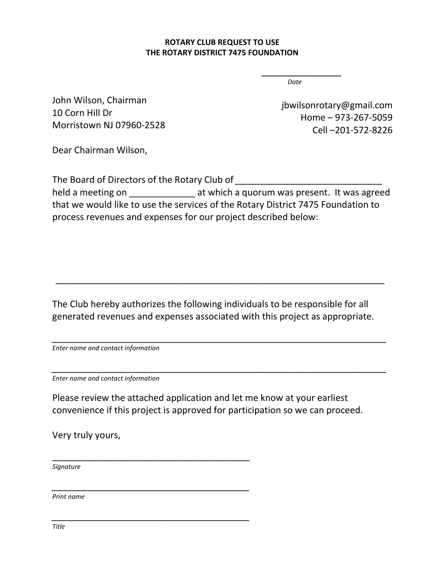## **ROTARY CLUB REQUEST TO USE THE ROTARY DISTRICT 7475 FOUNDATION**

*Date*

**\_\_\_\_\_\_\_\_\_\_\_\_\_\_\_\_\_\_\_\_**

John Wilson, Chairman 10 Corn Hill Dr Morristown NJ 07960-2528

jbwilsonrotary@gmail.com Home – 973-267-5059 Cell –201-572-8226

Dear Chairman Wilson,

The Board of Directors of the Rotary Club of *\_\_\_\_\_\_\_\_\_\_\_\_\_\_\_\_\_\_\_\_\_\_\_\_\_\_\_\_\_* held a meeting on **the and a state which a quorum was present.** It was agreed that we would like to use the services of the Rotary District 7475 Foundation to process revenues and expenses for our project described below:

The Club hereby authorizes the following individuals to be responsible for all generated revenues and expenses associated with this project as appropriate.

*\_\_\_\_\_\_\_\_\_\_\_\_\_\_\_\_\_\_\_\_\_\_\_\_\_\_\_\_\_\_\_\_\_\_\_\_\_\_\_\_\_\_\_\_\_\_\_\_\_\_\_\_\_\_\_\_\_\_\_\_\_\_\_\_\_\_*

*\_\_\_\_\_\_\_\_\_\_\_\_\_\_\_\_\_\_\_\_\_\_\_\_\_\_\_\_\_\_\_\_\_\_\_\_\_\_\_\_\_\_\_\_\_\_\_\_\_\_\_\_\_\_\_\_\_\_\_\_\_\_\_\_\_\_*

\_\_\_\_\_\_\_\_\_\_\_\_\_\_\_\_\_\_\_\_\_\_\_\_\_\_\_\_\_\_\_\_\_\_\_\_\_\_\_\_\_\_\_\_\_\_\_\_\_\_\_\_\_\_\_\_\_\_\_\_\_\_\_\_\_

*Enter name and contact information*

*Enter name and contact information*

\_\_\_\_\_\_\_\_\_\_\_\_\_\_\_\_\_\_\_\_\_\_\_\_\_\_\_\_\_\_\_\_\_\_\_\_\_\_\_

*\_\_\_\_\_\_\_\_\_\_\_\_\_\_\_\_\_\_\_\_\_\_\_\_\_\_\_\_\_\_\_\_\_\_\_\_\_\_\_*

*\_\_\_\_\_\_\_\_\_\_\_\_\_\_\_\_\_\_\_\_\_\_\_\_\_\_\_\_\_\_\_\_\_\_\_\_\_\_\_*

Please review the attached application and let me know at your earliest convenience if this project is approved for participation so we can proceed.

Very truly yours,

*Signature*

*Print name*

*Title*